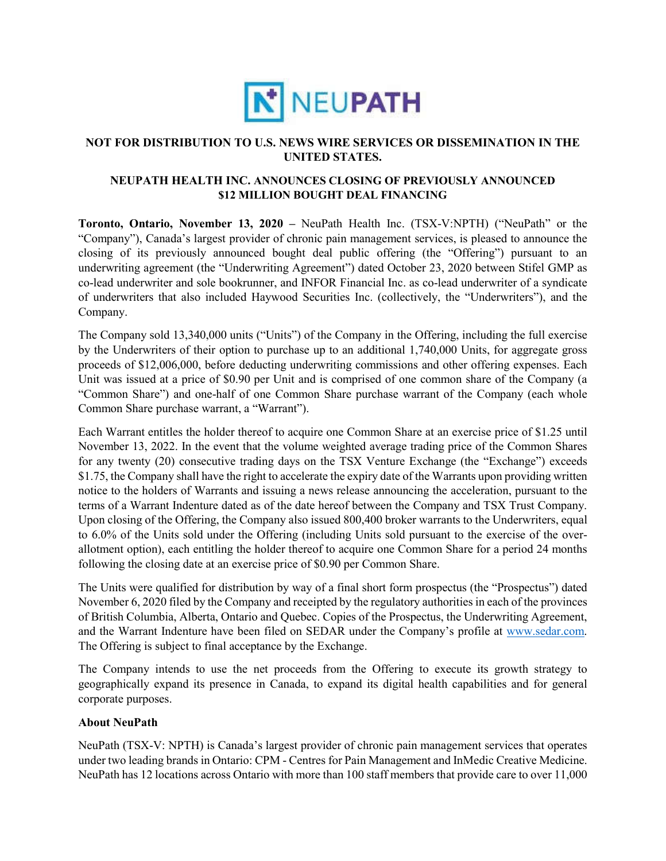

## **NOT FOR DISTRIBUTION TO U.S. NEWS WIRE SERVICES OR DISSEMINATION IN THE UNITED STATES.**

## **NEUPATH HEALTH INC. ANNOUNCES CLOSING OF PREVIOUSLY ANNOUNCED \$12 MILLION BOUGHT DEAL FINANCING**

**Toronto, Ontario, November 13, 2020 –** NeuPath Health Inc. (TSX-V:NPTH) ("NeuPath" or the "Company"), Canada's largest provider of chronic pain management services, is pleased to announce the closing of its previously announced bought deal public offering (the "Offering") pursuant to an underwriting agreement (the "Underwriting Agreement") dated October 23, 2020 between Stifel GMP as co-lead underwriter and sole bookrunner, and INFOR Financial Inc. as co-lead underwriter of a syndicate of underwriters that also included Haywood Securities Inc. (collectively, the "Underwriters"), and the Company.

The Company sold 13,340,000 units ("Units") of the Company in the Offering, including the full exercise by the Underwriters of their option to purchase up to an additional 1,740,000 Units, for aggregate gross proceeds of \$12,006,000, before deducting underwriting commissions and other offering expenses. Each Unit was issued at a price of \$0.90 per Unit and is comprised of one common share of the Company (a "Common Share") and one-half of one Common Share purchase warrant of the Company (each whole Common Share purchase warrant, a "Warrant").

Each Warrant entitles the holder thereof to acquire one Common Share at an exercise price of \$1.25 until November 13, 2022. In the event that the volume weighted average trading price of the Common Shares for any twenty (20) consecutive trading days on the TSX Venture Exchange (the "Exchange") exceeds \$1.75, the Company shall have the right to accelerate the expiry date of the Warrants upon providing written notice to the holders of Warrants and issuing a news release announcing the acceleration, pursuant to the terms of a Warrant Indenture dated as of the date hereof between the Company and TSX Trust Company. Upon closing of the Offering, the Company also issued 800,400 broker warrants to the Underwriters, equal to 6.0% of the Units sold under the Offering (including Units sold pursuant to the exercise of the overallotment option), each entitling the holder thereof to acquire one Common Share for a period 24 months following the closing date at an exercise price of \$0.90 per Common Share.

The Units were qualified for distribution by way of a final short form prospectus (the "Prospectus") dated November 6, 2020 filed by the Company and receipted by the regulatory authorities in each of the provinces of British Columbia, Alberta, Ontario and Quebec. Copies of the Prospectus, the Underwriting Agreement, and the Warrant Indenture have been filed on SEDAR under the Company's profile at www.sedar.com. The Offering is subject to final acceptance by the Exchange.

The Company intends to use the net proceeds from the Offering to execute its growth strategy to geographically expand its presence in Canada, to expand its digital health capabilities and for general corporate purposes.

#### **About NeuPath**

NeuPath (TSX-V: NPTH) is Canada's largest provider of chronic pain management services that operates under two leading brands in Ontario: CPM - Centres for Pain Management and InMedic Creative Medicine. NeuPath has 12 locations across Ontario with more than 100 staff members that provide care to over 11,000